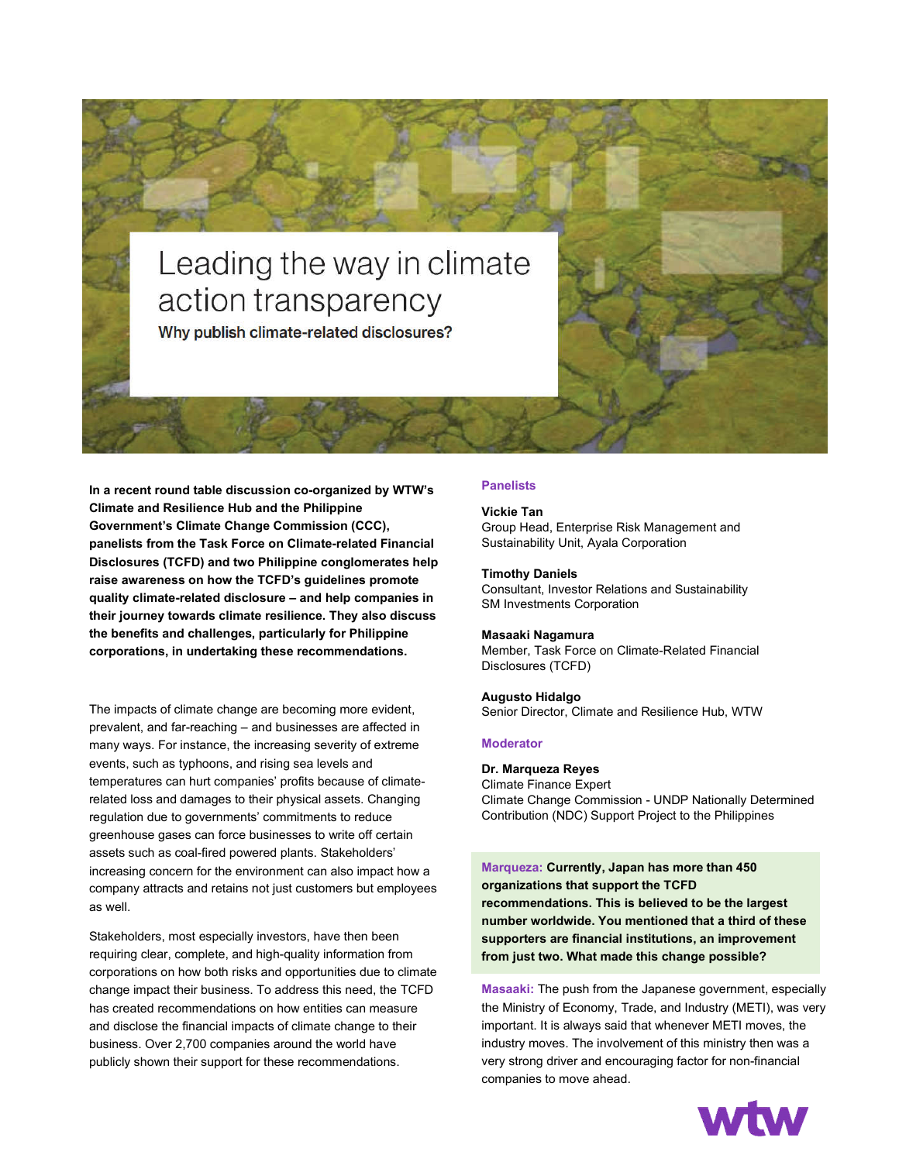# Leading the way in climate action transparency Why publish climate-related disclosures?

**In a recent round table discussion co-organized by WTW's Climate and Resilience Hub and the Philippine Government's Climate Change Commission (CCC), panelists from the Task Force on Climate-related Financial Disclosures (TCFD) and two Philippine conglomerates help raise awareness on how the TCFD's guidelines promote quality climate-related disclosure – and help companies in their journey towards climate resilience. They also discuss the benefits and challenges, particularly for Philippine corporations, in undertaking these recommendations.**

The impacts of climate change are becoming more evident, prevalent, and far-reaching – and businesses are affected in many ways. For instance, the increasing severity of extreme events, such as typhoons, and rising sea levels and temperatures can hurt companies' profits because of climaterelated loss and damages to their physical assets. Changing regulation due to governments' commitments to reduce greenhouse gases can force businesses to write off certain assets such as coal-fired powered plants. Stakeholders' increasing concern for the environment can also impact how a company attracts and retains not just customers but employees as well.

Stakeholders, most especially investors, have then been requiring clear, complete, and high-quality information from corporations on how both risks and opportunities due to climate change impact their business. To address this need, the TCFD has created recommendations on how entities can measure and disclose the financial impacts of climate change to their business. Over 2,700 companies around the world have publicly shown their support for these recommendations.

# **Panelists**

#### **Vickie Tan**

Group Head, Enterprise Risk Management and Sustainability Unit, Ayala Corporation

### **Timothy Daniels**

Consultant, Investor Relations and Sustainability SM Investments Corporation

#### **Masaaki Nagamura**

Member, Task Force on Climate-Related Financial Disclosures (TCFD)

#### **Augusto Hidalgo**

Senior Director, Climate and Resilience Hub, WTW

#### **Moderator**

#### **Dr. Marqueza Reyes**

Climate Finance Expert Climate Change Commission - UNDP Nationally Determined Contribution (NDC) Support Project to the Philippines

**Marqueza: Currently, Japan has more than 450 organizations that support the TCFD recommendations. This is believed to be the largest number worldwide. You mentioned that a third of these supporters are financial institutions, an improvement from just two. What made this change possible?**

**Masaaki:** The push from the Japanese government, especially the Ministry of Economy, Trade, and Industry (METI), was very important. It is always said that whenever METI moves, the industry moves. The involvement of this ministry then was a very strong driver and encouraging factor for non-financial companies to move ahead.

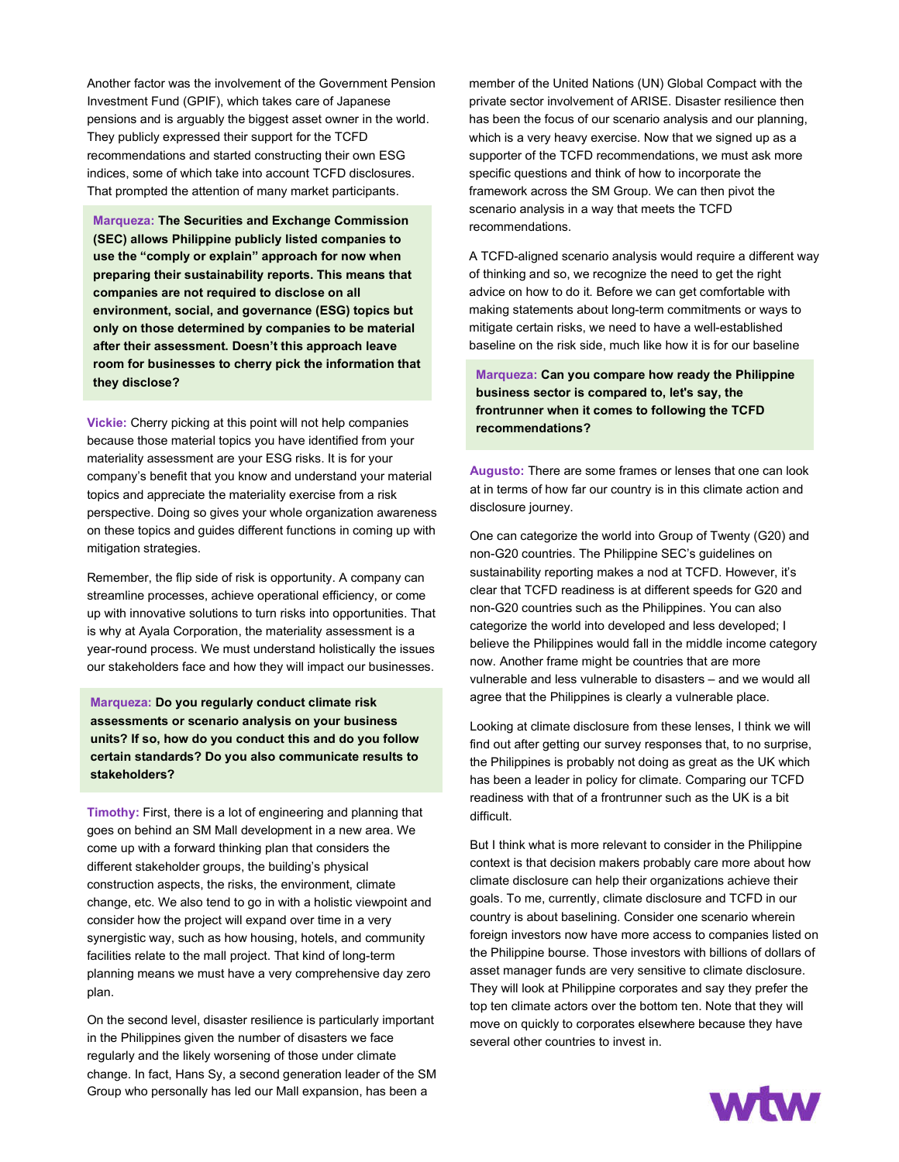Another factor was the involvement of the Government Pension Investment Fund (GPIF), which takes care of Japanese pensions and is arguably the biggest asset owner in the world. They publicly expressed their support for the TCFD recommendations and started constructing their own ESG indices, some of which take into account TCFD disclosures. That prompted the attention of many market participants.

**Marqueza: The Securities and Exchange Commission (SEC) allows Philippine publicly listed companies to use the "comply or explain" approach for now when preparing their sustainability reports. This means that companies are not required to disclose on all environment, social, and governance (ESG) topics but only on those determined by companies to be material after their assessment. Doesn't this approach leave room for businesses to cherry pick the information that they disclose?**

company's benefit that you know and understand your material topics and appreciate the materiality exercise from a risk perspective. Doing so gives your whole organization awareness on these topics and guides different functions in coming up with  $m$ itigation strategies.  $\overline{\phantom{a}}$ **Vickie:** Cherry picking at this point will not help companies because those material topics you have identified from your materiality assessment are your ESG risks. It is for your

Remember, the flip side of risk is opportunity. A company can up with innovative solutions to turn risks into opportunities. That is why at Ayala Corporation, the materiality assessment is a year-round process. We must understand holistically the issues our stakeholders face and how they will impact our businesses. streamline processes, achieve operational efficiency, or come

**Marqueza: Do you regularly conduct climate risk <b>by a strain the companies to be material after their assessment. Doesn't assessments or scenario analysis on your business this approach leave room for businesses to cherry pick the units? If so, how do you conduct this and do you follow information that they disclose? certain standards? Do you also communicate results to VIC: Cherry picking at the point will not help companies with will not help companies with will not help companies with**  $\mathcal{L}$ **stakeholders?** 

**Timothy:** First, there is a lot of engineering and planning that goes on behind an SM Mall development in a new area. We come up with a forward thinking plan that considers the different stakeholder groups, the building's physical construction aspects, the risks, the environment, climate change, etc. We also tend to go in with a holistic viewpoint and synergistic way, such as how housing, hotels, and community facilities relate to the mall project. That kind of long-term planning means we must have a very comprehensive day zero  $\mathsf{lan}$  at Ayala  $\mathsf{Can}$  assessment is a materiality assessment is a material to  $\mathsf{Can}$ consider how the project will expand over time in a very plan.

On the second level, disaster resilience is particularly important regularly and the likely worsening of those under climate change. In fact, Hans Sy, a second generation leader of the SM Group who personally has led our Mall expansion, has been a in the Philippines given the number of disasters we face

member of the United Nations (UN) Global Compact with the private sector involvement of ARISE. Disaster resilience then has been the focus of our scenario analysis and our planning, which is a very heavy exercise. Now that we signed up as a supporter of the TCFD recommendations, we must ask more specific questions and think of how to incorporate the framework across the SM Group. We can then pivot the scenario analysis in a way that meets the TCFD recommendations.

A TCFD-aligned scenario analysis would require a different way of thinking and so, we recognize the need to get the right advice on how to do it. Before we can get comfortable with making statements about long-term commitments or ways to mitigate certain risks, we need to have a well-established baseline on the risk side, much like how it is for our baseline

**Marqueza: Can you compare how ready the Philippine business sector is compared to, let's say, the frontrunner when it comes to following the TCFD recommendations?**

**Augusto:** There are some frames or lenses that one can look at in terms of how far our country is in this climate action and disclosure journey.

One can categorize the world into Group of Twenty (G20) and non-G20 countries. The Philippine SEC's guidelines on sustainability reporting makes a nod at TCFD. However, it's clear that TCFD readiness is at different speeds for G20 and non-G20 countries such as the Philippines. You can also categorize the world into developed and less developed; I believe the Philippines would fall in the middle income category now. Another frame might be countries that are more vulnerable and less vulnerable to disasters – and we would all agree that the Philippines is clearly a vulnerable place.

Looking at climate disclosure from these lenses, I think we will find out after getting our survey responses that, to no surprise, the Philippines is probably not doing as great as the UK which has been a leader in policy for climate. Comparing our TCFD readiness with that of a frontrunner such as the UK is a bit difficult.

But I think what is more relevant to consider in the Philippine context is that decision makers probably care more about how climate disclosure can help their organizations achieve their goals. To me, currently, climate disclosure and TCFD in our country is about baselining. Consider one scenario wherein foreign investors now have more access to companies listed on the Philippine bourse. Those investors with billions of dollars of asset manager funds are very sensitive to climate disclosure. They will look at Philippine corporates and say they prefer the top ten climate actors over the bottom ten. Note that they will move on quickly to corporates elsewhere because they have several other countries to invest in.

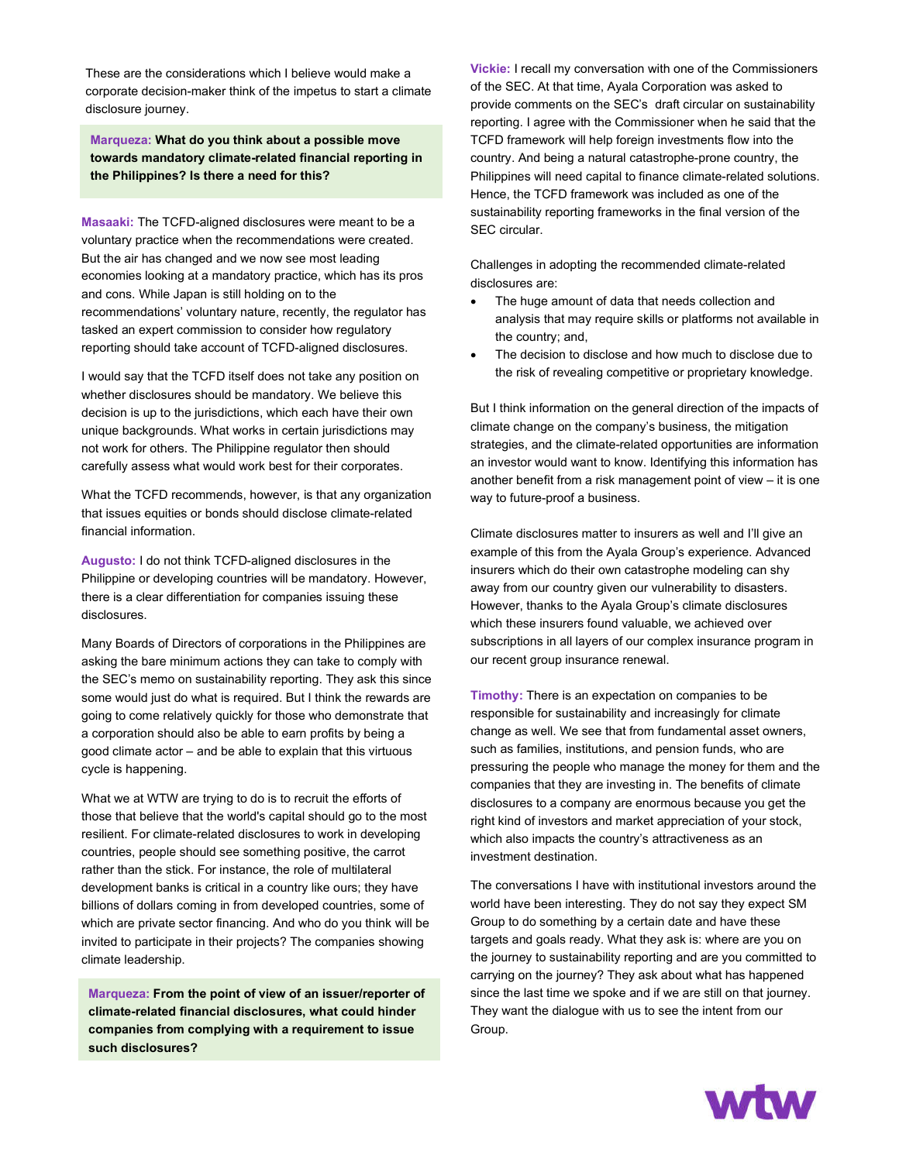These are the considerations which I believe would make a corporate decision-maker think of the impetus to start a climate disclosure journey.

**Marqueza: What do you think about a possible move towards mandatory climate-related financial reporting in the Philippines? Is there a need for this?**

**Masaaki:** The TCFD-aligned disclosures were meant to be a voluntary practice when the recommendations were created. But the air has changed and we now see most leading economies looking at a mandatory practice, which has its pros and cons. While Japan is still holding on to the recommendations' voluntary nature, recently, the regulator has tasked an expert commission to consider how regulatory reporting should take account of TCFD-aligned disclosures.

I would say that the TCFD itself does not take any position on whether disclosures should be mandatory. We believe this decision is up to the jurisdictions, which each have their own unique backgrounds. What works in certain jurisdictions may not work for others. The Philippine regulator then should carefully assess what would work best for their corporates.

What the TCFD recommends, however, is that any organization that issues equities or bonds should disclose climate-related financial information.

**Augusto:** I do not think TCFD-aligned disclosures in the Philippine or developing countries will be mandatory. However, there is a clear differentiation for companies issuing these disclosures.

Many Boards of Directors of corporations in the Philippines are asking the bare minimum actions they can take to comply with the SEC's memo on sustainability reporting. They ask this since some would just do what is required. But I think the rewards are going to come relatively quickly for those who demonstrate that a corporation should also be able to earn profits by being a good climate actor – and be able to explain that this virtuous cycle is happening.

What we at WTW are trying to do is to recruit the efforts of those that believe that the world's capital should go to the most resilient. For climate-related disclosures to work in developing countries, people should see something positive, the carrot rather than the stick. For instance, the role of multilateral development banks is critical in a country like ours; they have billions of dollars coming in from developed countries, some of which are private sector financing. And who do you think will be invited to participate in their projects? The companies showing climate leadership.

**Marqueza: From the point of view of an issuer/reporter of climate-related financial disclosures, what could hinder companies from complying with a requirement to issue such disclosures?**

**Vickie:** I recall my conversation with one of the Commissioners of the SEC. At that time, Ayala Corporation was asked to provide comments on the SEC's draft circular on sustainability reporting. I agree with the Commissioner when he said that the TCFD framework will help foreign investments flow into the country. And being a natural catastrophe-prone country, the Philippines will need capital to finance climate-related solutions. Hence, the TCFD framework was included as one of the sustainability reporting frameworks in the final version of the SEC circular.

Challenges in adopting the recommended climate-related disclosures are:

- The huge amount of data that needs collection and analysis that may require skills or platforms not available in the country; and,
- The decision to disclose and how much to disclose due to the risk of revealing competitive or proprietary knowledge.

But I think information on the general direction of the impacts of climate change on the company's business, the mitigation strategies, and the climate-related opportunities are information an investor would want to know. Identifying this information has another benefit from a risk management point of view – it is one way to future-proof a business.

Climate disclosures matter to insurers as well and I'll give an example of this from the Ayala Group's experience. Advanced insurers which do their own catastrophe modeling can shy away from our country given our vulnerability to disasters. However, thanks to the Ayala Group's climate disclosures which these insurers found valuable, we achieved over subscriptions in all layers of our complex insurance program in our recent group insurance renewal.

**Timothy:** There is an expectation on companies to be responsible for sustainability and increasingly for climate change as well. We see that from fundamental asset owners, such as families, institutions, and pension funds, who are pressuring the people who manage the money for them and the companies that they are investing in. The benefits of climate disclosures to a company are enormous because you get the right kind of investors and market appreciation of your stock, which also impacts the country's attractiveness as an investment destination.

The conversations I have with institutional investors around the world have been interesting. They do not say they expect SM Group to do something by a certain date and have these targets and goals ready. What they ask is: where are you on the journey to sustainability reporting and are you committed to carrying on the journey? They ask about what has happened since the last time we spoke and if we are still on that journey. They want the dialogue with us to see the intent from our Group.

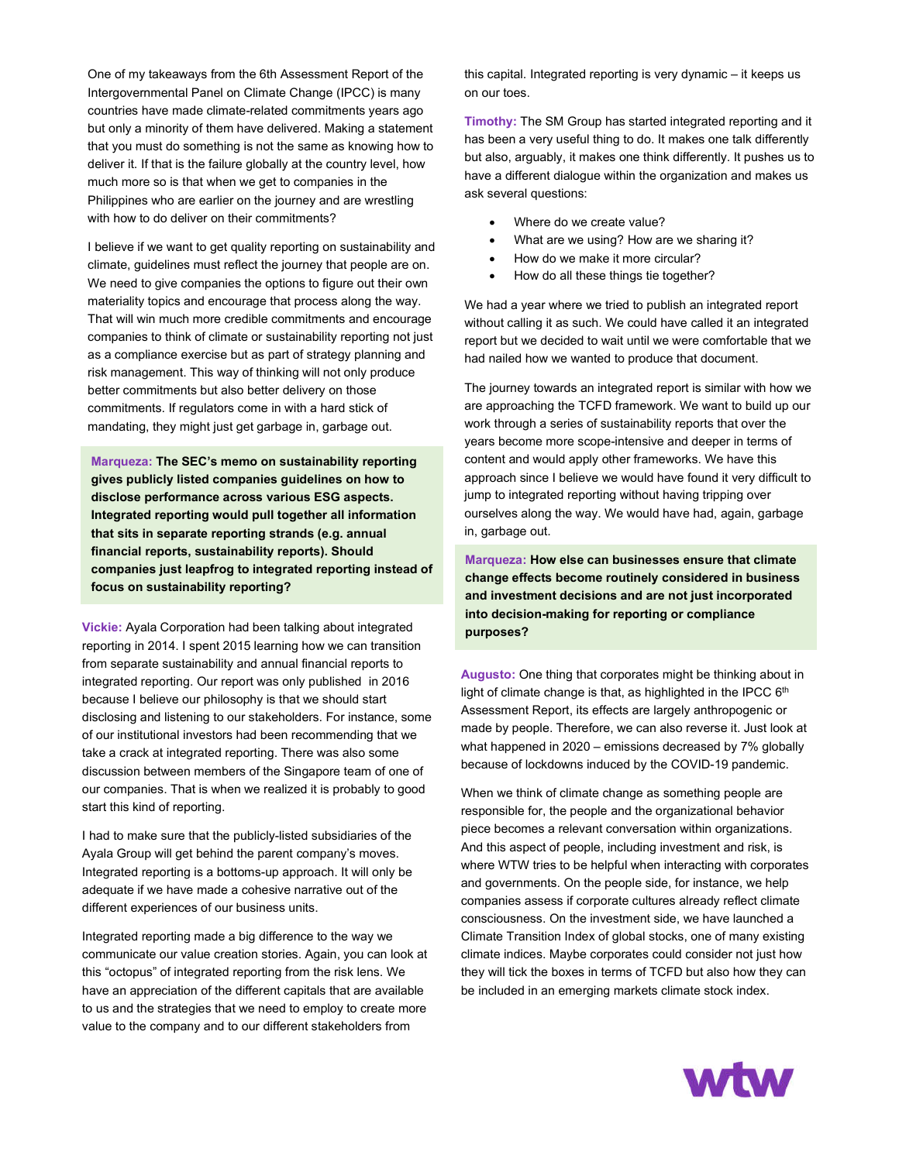countries have made climate-related commitments years ago One of my takeaways from the 6th Assessment Report of the Intergovernmental Panel on Climate Change (IPCC) is many but only a minority of them have delivered. Making a statement that you must do something is not the same as knowing how to deliver it. If that is the failure globally at the country level, how much more so is that when we get to companies in the Philippines who are earlier on the journey and are wrestling with how to do deliver on their commitments?

I believe if we want to get quality reporting on sustainability and climate, guidelines must reflect the journey that people are on. We need to give companies the options to figure out their own materiality topics and encourage that process along the way. That will win much more credible commitments and encourage companies to think of climate or sustainability reporting not just as a compliance exercise but as part of strategy planning and risk management. This way of thinking will not only produce better commitments but also better delivery on those commitments. If regulators come in with a hard stick of mandating, they might just get garbage in, garbage out.

**Marqueza: The SEC's memo on sustainability reporting gives publicly listed companies guidelines on how to disclose performance across various ESG aspects. Integrated reporting would pull together all information that sits in separate reporting strands (e.g. annual financial reports, sustainability reports). Should companies just leapfrog to integrated reporting instead of focus on sustainability reporting?**

**Vickie:** Ayala Corporation had been talking about integrated reporting in 2014. I spent 2015 learning how we can transition from separate sustainability and annual financial reports to integrated reporting. Our report was only published in 2016 because I believe our philosophy is that we should start disclosing and listening to our stakeholders. For instance, some of our institutional investors had been recommending that we take a crack at integrated reporting. There was also some discussion between members of the Singapore team of one of our companies. That is when we realized it is probably to good start this kind of reporting.

I had to make sure that the publicly-listed subsidiaries of the Ayala Group will get behind the parent company's moves. Integrated reporting is a bottoms-up approach. It will only be adequate if we have made a cohesive narrative out of the different experiences of our business units.

Integrated reporting made a big difference to the way we communicate our value creation stories. Again, you can look at this "octopus" of integrated reporting from the risk lens. We have an appreciation of the different capitals that are available to us and the strategies that we need to employ to create more value to the company and to our different stakeholders from

this capital. Integrated reporting is very dynamic – it keeps us on our toes.

**Timothy:** The SM Group has started integrated reporting and it has been a very useful thing to do. It makes one talk differently but also, arguably, it makes one think differently. It pushes us to have a different dialogue within the organization and makes us ask several questions:

- Where do we create value?
- What are we using? How are we sharing it?
- How do we make it more circular?
- How do all these things tie together?

We had a year where we tried to publish an integrated report without calling it as such. We could have called it an integrated report but we decided to wait until we were comfortable that we had nailed how we wanted to produce that document.

The journey towards an integrated report is similar with how we are approaching the TCFD framework. We want to build up our work through a series of sustainability reports that over the years become more scope-intensive and deeper in terms of content and would apply other frameworks. We have this approach since I believe we would have found it very difficult to jump to integrated reporting without having tripping over ourselves along the way. We would have had, again, garbage in, garbage out.

**Marqueza: How else can businesses ensure that climate change effects become routinely considered in business and investment decisions and are not just incorporated into decision-making for reporting or compliance purposes?**

**Augusto:** One thing that corporates might be thinking about in light of climate change is that, as highlighted in the IPCC  $6<sup>th</sup>$ Assessment Report, its effects are largely anthropogenic or made by people. Therefore, we can also reverse it. Just look at what happened in 2020 – emissions decreased by 7% globally because of lockdowns induced by the COVID-19 pandemic.

When we think of climate change as something people are responsible for, the people and the organizational behavior piece becomes a relevant conversation within organizations. And this aspect of people, including investment and risk, is where WTW tries to be helpful when interacting with corporates and governments. On the people side, for instance, we help companies assess if corporate cultures already reflect climate consciousness. On the investment side, we have launched a Climate Transition Index of global stocks, one of many existing climate indices. Maybe corporates could consider not just how they will tick the boxes in terms of TCFD but also how they can be included in an emerging markets climate stock index.